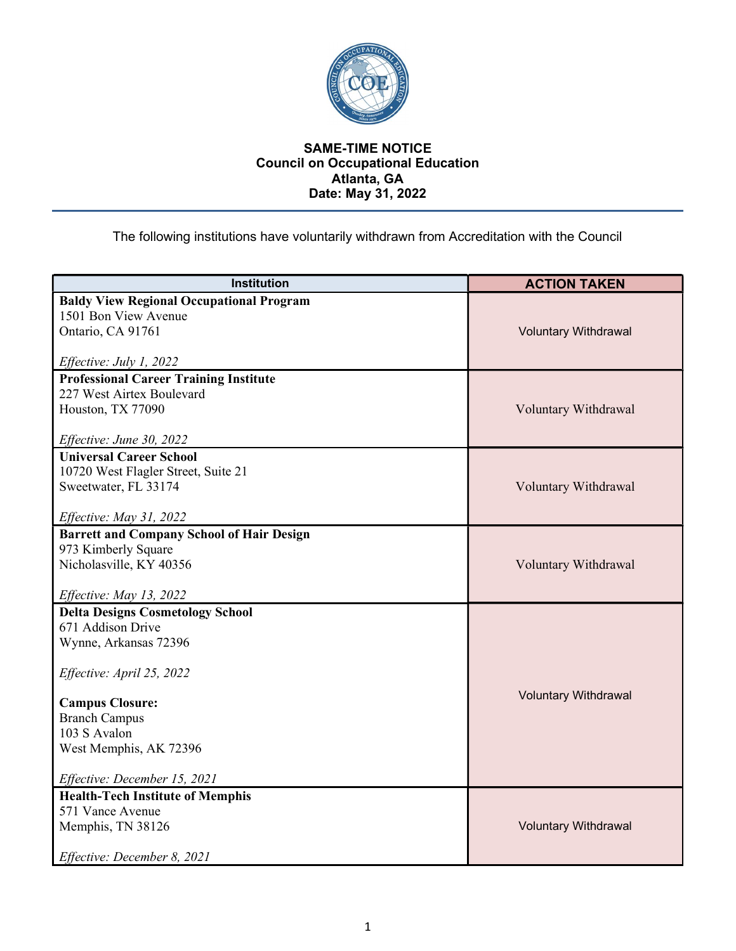

## SAME-TIME NOTICE Council on Occupational Education Atlanta, GA Date: May 31, 2022

The following institutions have voluntarily withdrawn from Accreditation with the Council

| <b>Institution</b>                               | <b>ACTION TAKEN</b>         |
|--------------------------------------------------|-----------------------------|
| <b>Baldy View Regional Occupational Program</b>  |                             |
| 1501 Bon View Avenue                             |                             |
| Ontario, CA 91761                                | <b>Voluntary Withdrawal</b> |
|                                                  |                             |
| Effective: July 1, 2022                          |                             |
| <b>Professional Career Training Institute</b>    |                             |
| 227 West Airtex Boulevard                        |                             |
| Houston, TX 77090                                | Voluntary Withdrawal        |
| Effective: June 30, 2022                         |                             |
| <b>Universal Career School</b>                   |                             |
| 10720 West Flagler Street, Suite 21              |                             |
| Sweetwater, FL 33174                             | Voluntary Withdrawal        |
|                                                  |                             |
| Effective: May 31, 2022                          |                             |
| <b>Barrett and Company School of Hair Design</b> |                             |
| 973 Kimberly Square                              |                             |
| Nicholasville, KY 40356                          | Voluntary Withdrawal        |
| Effective: May 13, 2022                          |                             |
| <b>Delta Designs Cosmetology School</b>          |                             |
| 671 Addison Drive                                |                             |
| Wynne, Arkansas 72396                            |                             |
|                                                  |                             |
| Effective: April 25, 2022                        |                             |
|                                                  | <b>Voluntary Withdrawal</b> |
| <b>Campus Closure:</b><br><b>Branch Campus</b>   |                             |
| 103 S Avalon                                     |                             |
| West Memphis, AK 72396                           |                             |
|                                                  |                             |
| Effective: December 15, 2021                     |                             |
| <b>Health-Tech Institute of Memphis</b>          |                             |
| 571 Vance Avenue                                 |                             |
| Memphis, TN 38126                                | <b>Voluntary Withdrawal</b> |
| Effective: December 8, 2021                      |                             |